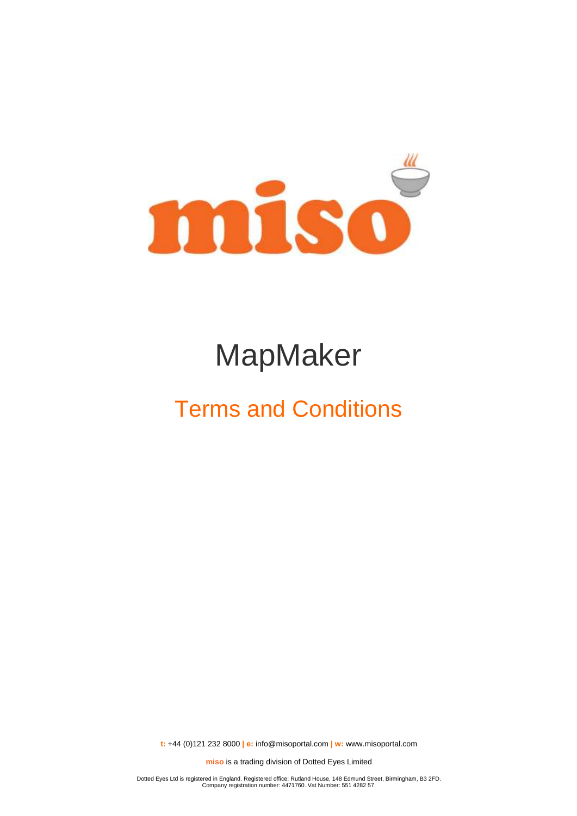

# MapMaker

## Terms and Conditions

**t:** +44 (0)121 232 8000 **| e:** [info@misoportal.com](mailto:info@misoportal.com) **| w:** [www.misoportal.com](http://www.misoportal.com/)

**miso** is a trading division of Dotted Eyes Limited

Dotted Eyes Ltd is registered in England. Registered office: Rutland House, 148 Edmund Street, Birmingham, B3 2FD. Company registration number: 4471760. Vat Number: 551 4282 57.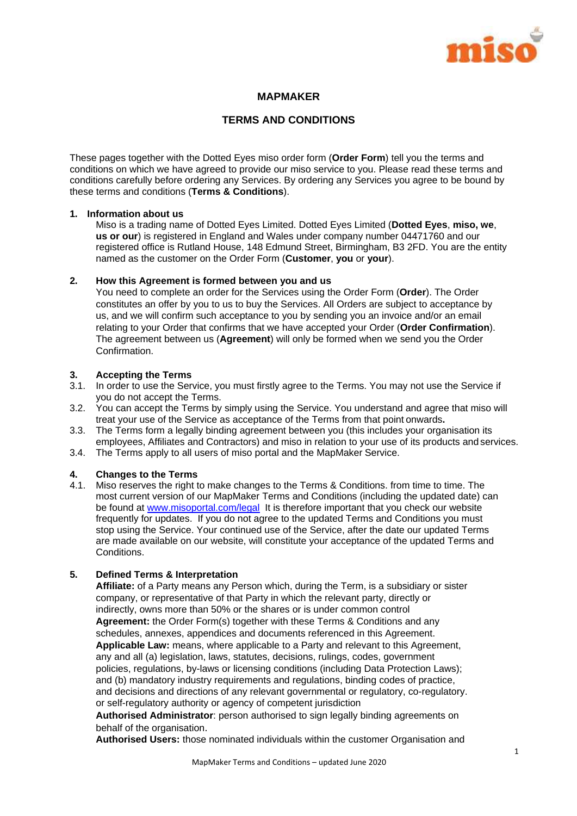

## **MAPMAKER**

## **TERMS AND CONDITIONS**

These pages together with the Dotted Eyes miso order form (**Order Form**) tell you the terms and conditions on which we have agreed to provide our miso service to you. Please read these terms and conditions carefully before ordering any Services. By ordering any Services you agree to be bound by these terms and conditions (**Terms & Conditions**).

### **1. Information about us**

Miso is a trading name of Dotted Eyes Limited. Dotted Eyes Limited (**Dotted Eyes**, **miso, we**, **us or our**) is registered in England and Wales under company number 04471760 and our registered office is Rutland House, 148 Edmund Street, Birmingham, B3 2FD. You are the entity named as the customer on the Order Form (**Customer**, **you** or **your**).

## **2. How this Agreement is formed between you and us**

You need to complete an order for the Services using the Order Form (**Order**). The Order constitutes an offer by you to us to buy the Services. All Orders are subject to acceptance by us, and we will confirm such acceptance to you by sending you an invoice and/or an email relating to your Order that confirms that we have accepted your Order (**Order Confirmation**). The agreement between us (**Agreement**) will only be formed when we send you the Order Confirmation.

## **3. Accepting the Terms**

- 3.1. In order to use the Service, you must firstly agree to the Terms. You may not use the Service if you do not accept the Terms.
- 3.2. You can accept the Terms by simply using the Service. You understand and agree that miso will treat your use of the Service as acceptance of the Terms from that point onwards**.**
- 3.3. The Terms form a legally binding agreement between you (this includes your organisation its employees, Affiliates and Contractors) and miso in relation to your use of its products and services.
- 3.4. The Terms apply to all users of miso portal and the MapMaker Service.

## **4. Changes to the Terms**

4.1. Miso reserves the right to make changes to the Terms & Conditions. from time to time. The most current version of our MapMaker Terms and Conditions (including the updated date) can be found at [www.misoportal.com/legal](http://www.misoportal.com/legal) It is therefore important that you check our website frequently for updates. If you do not agree to the updated Terms and Conditions you must stop using the Service. Your continued use of the Service, after the date our updated Terms are made available on our website, will constitute your acceptance of the updated Terms and Conditions.

## **5. Defined Terms & Interpretation**

**Affiliate:** of a Party means any Person which, during the Term, is a subsidiary or sister company, or representative of that Party in which the relevant party, directly or indirectly, owns more than 50% or the shares or is under common control **Agreement:** the Order Form(s) together with these Terms & Conditions and any schedules, annexes, appendices and documents referenced in this Agreement. **Applicable Law:** means, where applicable to a Party and relevant to this Agreement, any and all (a) legislation, laws, statutes, decisions, rulings, codes, government policies, regulations, by-laws or licensing conditions (including Data Protection Laws); and (b) mandatory industry requirements and regulations, binding codes of practice, and decisions and directions of any relevant governmental or regulatory, co-regulatory. or self-regulatory authority or agency of competent jurisdiction

**Authorised Administrator**: person authorised to sign legally binding agreements on behalf of the organisation.

**Authorised Users:** those nominated individuals within the customer Organisation and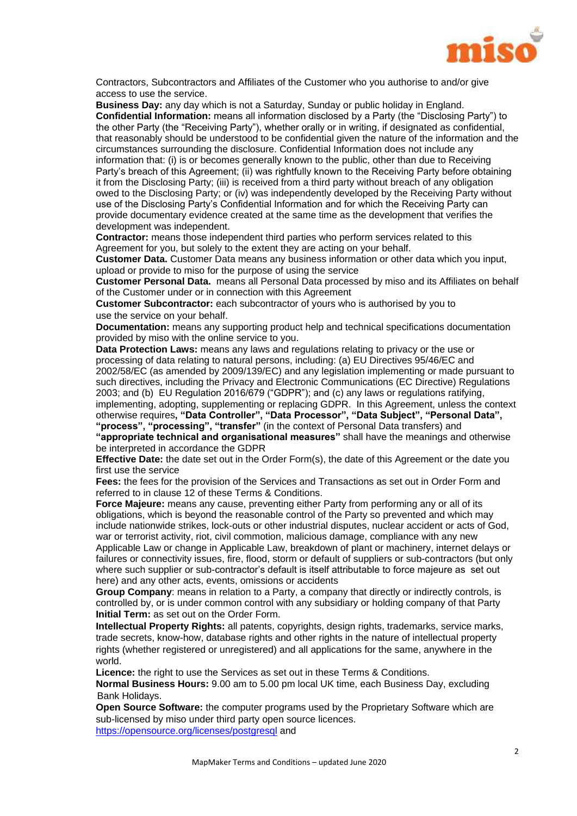

Contractors, Subcontractors and Affiliates of the Customer who you authorise to and/or give access to use the service.

**Business Day:** any day which is not a Saturday, Sunday or public holiday in England. **Confidential Information:** means all information disclosed by a Party (the "Disclosing Party") to the other Party (the "Receiving Party"), whether orally or in writing, if designated as confidential, that reasonably should be understood to be confidential given the nature of the information and the circumstances surrounding the disclosure. Confidential Information does not include any information that: (i) is or becomes generally known to the public, other than due to Receiving Party's breach of this Agreement; (ii) was rightfully known to the Receiving Party before obtaining it from the Disclosing Party; (iii) is received from a third party without breach of any obligation owed to the Disclosing Party; or (iv) was independently developed by the Receiving Party without use of the Disclosing Party's Confidential Information and for which the Receiving Party can provide documentary evidence created at the same time as the development that verifies the development was independent.

**Contractor:** means those independent third parties who perform services related to this Agreement for you, but solely to the extent they are acting on your behalf.

**Customer Data.** Customer Data means any business information or other data which you input, upload or provide to miso for the purpose of using the service

**Customer Personal Data.** means all Personal Data processed by miso and its Affiliates on behalf of the Customer under or in connection with this Agreement

**Customer Subcontractor:** each subcontractor of yours who is authorised by you to use the service on your behalf.

**Documentation:** means any supporting product help and technical specifications documentation provided by miso with the online service to you.

**Data Protection Laws:** means any laws and regulations relating to privacy or the use or processing of data relating to natural persons, including: (a) EU Directives 95/46/EC and 2002/58/EC (as amended by 2009/139/EC) and any legislation implementing or made pursuant to such directives, including the Privacy and Electronic Communications (EC Directive) Regulations 2003; and (b) EU Regulation 2016/679 ("GDPR"); and (c) any laws or regulations ratifying, implementing, adopting, supplementing or replacing GDPR. In this Agreement, unless the context otherwise requires**, "Data Controller", "Data Processor", "Data Subject", "Personal Data", "process", "processing", "transfer"** (in the context of Personal Data transfers) and

**"appropriate technical and organisational measures"** shall have the meanings and otherwise be interpreted in accordance the GDPR

**Effective Date:** the date set out in the Order Form(s), the date of this Agreement or the date you first use the service

**Fees:** the fees for the provision of the Services and Transactions as set out in Order Form and referred to in clause 12 of these Terms & Conditions.

**Force Majeure:** means any cause, preventing either Party from performing any or all of its obligations, which is beyond the reasonable control of the Party so prevented and which may include nationwide strikes, lock-outs or other industrial disputes, nuclear accident or acts of God, war or terrorist activity, riot, civil commotion, malicious damage, compliance with any new Applicable Law or change in Applicable Law, breakdown of plant or machinery, internet delays or

failures or connectivity issues, fire, flood, storm or default of suppliers or sub-contractors (but only where such supplier or sub-contractor's default is itself attributable to force majeure as set out here) and any other acts, events, omissions or accidents

**Group Company**: means in relation to a Party, a company that directly or indirectly controls, is controlled by, or is under common control with any subsidiary or holding company of that Party **Initial Term:** as set out on the Order Form.

**Intellectual Property Rights:** all patents, copyrights, design rights, trademarks, service marks, trade secrets, know-how, database rights and other rights in the nature of intellectual property rights (whether registered or unregistered) and all applications for the same, anywhere in the world.

**Licence:** the right to use the Services as set out in these Terms & Conditions.

**Normal Business Hours:** 9.00 am to 5.00 pm local UK time, each Business Day, excluding Bank Holidays.

**Open Source Software:** the computer programs used by the Proprietary Software which are sub-licensed by miso under third party open source licences. <https://opensource.org/licenses/postgresql> and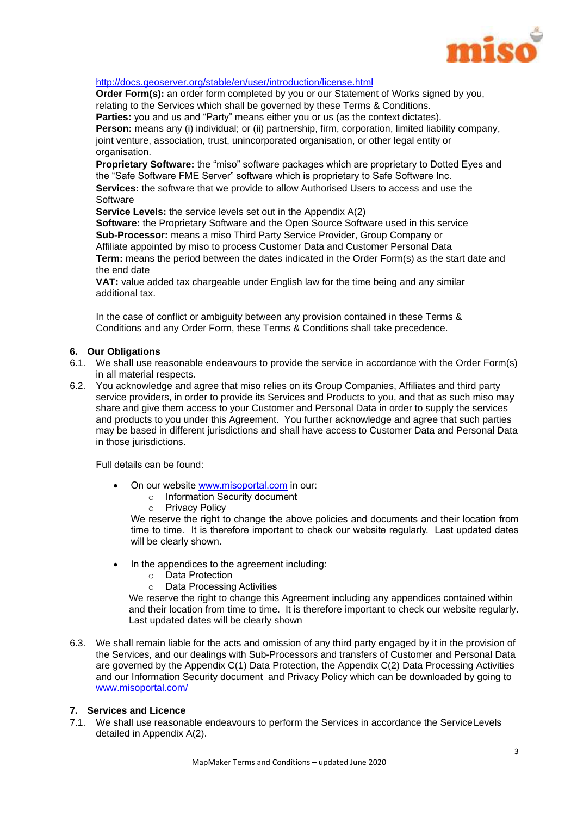

## <http://docs.geoserver.org/stable/en/user/introduction/license.html>

**Order Form(s):** an order form completed by you or our Statement of Works signed by you, relating to the Services which shall be governed by these Terms & Conditions. Parties: you and us and "Party" means either you or us (as the context dictates).

**Person:** means any (i) individual; or (ii) partnership, firm, corporation, limited liability company, joint venture, association, trust, unincorporated organisation, or other legal entity or organisation.

**Proprietary Software:** the "miso" software packages which are proprietary to Dotted Eyes and the "Safe Software FME Server" software which is proprietary to Safe Software Inc. **Services:** the software that we provide to allow Authorised Users to access and use the Software

**Service Levels:** the service levels set out in the Appendix A(2)

**Software:** the Proprietary Software and the Open Source Software used in this service **Sub-Processor:** means a miso Third Party Service Provider, Group Company or Affiliate appointed by miso to process Customer Data and Customer Personal Data **Term:** means the period between the dates indicated in the Order Form(s) as the start date and the end date

**VAT:** value added tax chargeable under English law for the time being and any similar additional tax.

In the case of conflict or ambiguity between any provision contained in these Terms & Conditions and any Order Form, these Terms & Conditions shall take precedence.

## **6. Our Obligations**

- 6.1. We shall use reasonable endeavours to provide the service in accordance with the Order Form(s) in all material respects.
- 6.2. You acknowledge and agree that miso relies on its Group Companies, Affiliates and third party service providers, in order to provide its Services and Products to you, and that as such miso may share and give them access to your Customer and Personal Data in order to supply the services and products to you under this Agreement. You further acknowledge and agree that such parties may be based in different jurisdictions and shall have access to Customer Data and Personal Data in those jurisdictions.

Full details can be found:

- On our website www.misoportal.com in our:
	- o Information Security document
	- o Privacy Policy

We reserve the right to change the above policies and documents and their location from time to time. It is therefore important to check our website regularly. Last updated dates will be clearly shown.

- In the appendices to the agreement including:
	- o Data Protection
	- o Data Processing Activities

We reserve the right to change this Agreement including any appendices contained within and their location from time to time. It is therefore important to check our website regularly. Last updated dates will be clearly shown

6.3. We shall remain liable for the acts and omission of any third party engaged by it in the provision of the Services, and our dealings with Sub-Processors and transfers of Customer and Personal Data are governed by the Appendix C(1) Data Protection, the Appendix C(2) Data Processing Activities and our Information Security document and Privacy Policy which can be downloaded by going to www.misoportal.com/

## **7. Services and Licence**

7.1. We shall use reasonable endeavours to perform the Services in accordance the ServiceLevels detailed in Appendix A(2).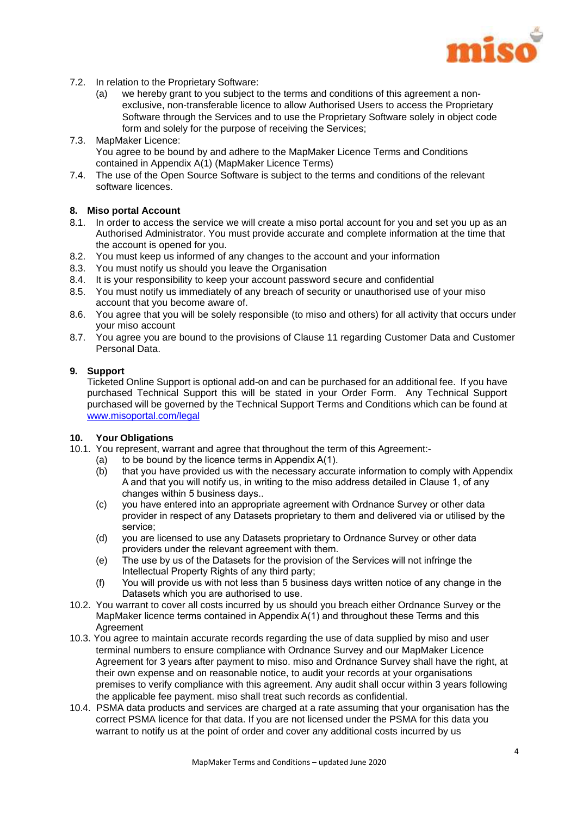

- 7.2. In relation to the Proprietary Software:
	- (a) we hereby grant to you subject to the terms and conditions of this agreement a nonexclusive, non-transferable licence to allow Authorised Users to access the Proprietary Software through the Services and to use the Proprietary Software solely in object code form and solely for the purpose of receiving the Services;
- 7.3. MapMaker Licence: You agree to be bound by and adhere to the MapMaker Licence Terms and Conditions contained in Appendix A(1) (MapMaker Licence Terms)
- 7.4. The use of the Open Source Software is subject to the terms and conditions of the relevant software licences.

## **8. Miso portal Account**

- 8.1. In order to access the service we will create a miso portal account for you and set you up as an Authorised Administrator. You must provide accurate and complete information at the time that the account is opened for you.
- 8.2. You must keep us informed of any changes to the account and your information
- 8.3. You must notify us should you leave the Organisation
- 8.4. It is your responsibility to keep your account password secure and confidential
- 8.5. You must notify us immediately of any breach of security or unauthorised use of your miso account that you become aware of.
- 8.6. You agree that you will be solely responsible (to miso and others) for all activity that occurs under your miso account
- 8.7. You agree you are bound to the provisions of Clause 11 regarding Customer Data and Customer Personal Data.

#### **9. Support**

Ticketed Online Support is optional add-on and can be purchased for an additional fee. If you have purchased Technical Support this will be stated in your Order Form. Any Technical Support purchased will be governed by the Technical Support Terms and Conditions which can be found at [www.misoportal.com/legal](http://www.misportal.com/legal)

### **10. Your Obligations**

- 10.1. You represent, warrant and agree that throughout the term of this Agreement:-
	- (a) to be bound by the licence terms in Appendix  $A(1)$ .
	- (b) that you have provided us with the necessary accurate information to comply with Appendix A and that you will notify us, in writing to the miso address detailed in Clause 1, of any changes within 5 business days..
	- (c) you have entered into an appropriate agreement with Ordnance Survey or other data provider in respect of any Datasets proprietary to them and delivered via or utilised by the service;
	- (d) you are licensed to use any Datasets proprietary to Ordnance Survey or other data providers under the relevant agreement with them.
	- (e) The use by us of the Datasets for the provision of the Services will not infringe the Intellectual Property Rights of any third party;
	- (f) You will provide us with not less than 5 business days written notice of any change in the Datasets which you are authorised to use.
- 10.2. You warrant to cover all costs incurred by us should you breach either Ordnance Survey or the MapMaker licence terms contained in Appendix A(1) and throughout these Terms and this Agreement
- 10.3. You agree to maintain accurate records regarding the use of data supplied by miso and user terminal numbers to ensure compliance with Ordnance Survey and our MapMaker Licence Agreement for 3 years after payment to miso. miso and Ordnance Survey shall have the right, at their own expense and on reasonable notice, to audit your records at your organisations premises to verify compliance with this agreement. Any audit shall occur within 3 years following the applicable fee payment. miso shall treat such records as confidential.
- 10.4. PSMA data products and services are charged at a rate assuming that your organisation has the correct PSMA licence for that data. If you are not licensed under the PSMA for this data you warrant to notify us at the point of order and cover any additional costs incurred by us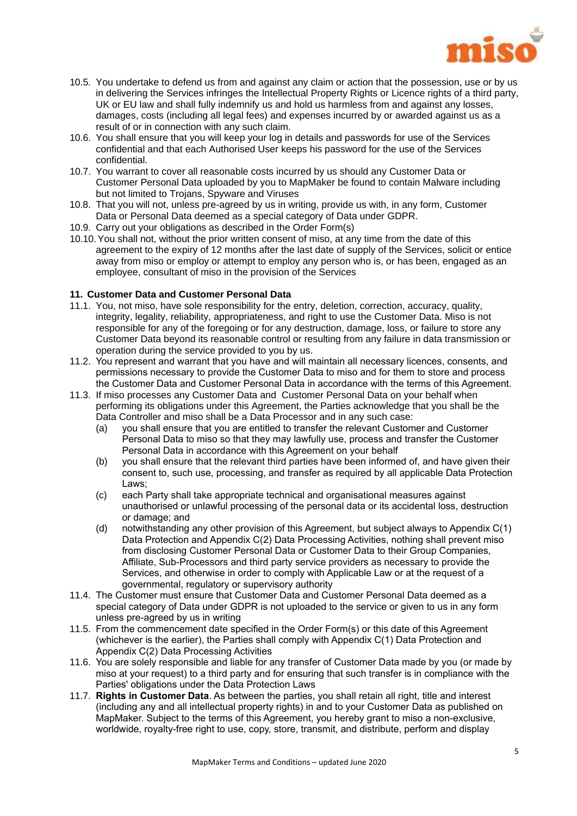

- 10.5. You undertake to defend us from and against any claim or action that the possession, use or by us in delivering the Services infringes the Intellectual Property Rights or Licence rights of a third party, UK or EU law and shall fully indemnify us and hold us harmless from and against any losses, damages, costs (including all legal fees) and expenses incurred by or awarded against us as a result of or in connection with any such claim.
- 10.6. You shall ensure that you will keep your log in details and passwords for use of the Services confidential and that each Authorised User keeps his password for the use of the Services confidential.
- 10.7. You warrant to cover all reasonable costs incurred by us should any Customer Data or Customer Personal Data uploaded by you to MapMaker be found to contain Malware including but not limited to Trojans, Spyware and Viruses
- 10.8. That you will not, unless pre-agreed by us in writing, provide us with, in any form, Customer Data or Personal Data deemed as a special category of Data under GDPR.
- 10.9. Carry out your obligations as described in the Order Form(s)
- 10.10.You shall not, without the prior written consent of miso, at any time from the date of this agreement to the expiry of 12 months after the last date of supply of the Services, solicit or entice away from miso or employ or attempt to employ any person who is, or has been, engaged as an employee, consultant of miso in the provision of the Services

## **11. Customer Data and Customer Personal Data**

- 11.1. You, not miso, have sole responsibility for the entry, deletion, correction, accuracy, quality, integrity, legality, reliability, appropriateness, and right to use the Customer Data. Miso is not responsible for any of the foregoing or for any destruction, damage, loss, or failure to store any Customer Data beyond its reasonable control or resulting from any failure in data transmission or operation during the service provided to you by us.
- 11.2. You represent and warrant that you have and will maintain all necessary licences, consents, and permissions necessary to provide the Customer Data to miso and for them to store and process the Customer Data and Customer Personal Data in accordance with the terms of this Agreement.
- 11.3. If miso processes any Customer Data and Customer Personal Data on your behalf when performing its obligations under this Agreement, the Parties acknowledge that you shall be the Data Controller and miso shall be a Data Processor and in any such case:
	- (a) you shall ensure that you are entitled to transfer the relevant Customer and Customer Personal Data to miso so that they may lawfully use, process and transfer the Customer Personal Data in accordance with this Agreement on your behalf
	- (b) you shall ensure that the relevant third parties have been informed of, and have given their consent to, such use, processing, and transfer as required by all applicable Data Protection Laws;
	- (c) each Party shall take appropriate technical and organisational measures against unauthorised or unlawful processing of the personal data or its accidental loss, destruction or damage; and
	- (d) notwithstanding any other provision of this Agreement, but subject always to Appendix C(1) Data Protection and Appendix C(2) Data Processing Activities, nothing shall prevent miso from disclosing Customer Personal Data or Customer Data to their Group Companies, Affiliate, Sub-Processors and third party service providers as necessary to provide the Services, and otherwise in order to comply with Applicable Law or at the request of a governmental, regulatory or supervisory authority
- 11.4. The Customer must ensure that Customer Data and Customer Personal Data deemed as a special category of Data under GDPR is not uploaded to the service or given to us in any form unless pre-agreed by us in writing
- 11.5. From the commencement date specified in the Order Form(s) or this date of this Agreement (whichever is the earlier), the Parties shall comply with Appendix C(1) Data Protection and Appendix C(2) Data Processing Activities
- 11.6. You are solely responsible and liable for any transfer of Customer Data made by you (or made by miso at your request) to a third party and for ensuring that such transfer is in compliance with the Parties' obligations under the Data Protection Laws
- 11.7. **Rights in Customer Data**. As between the parties, you shall retain all right, title and interest (including any and all intellectual property rights) in and to your Customer Data as published on MapMaker. Subject to the terms of this Agreement, you hereby grant to miso a non-exclusive, worldwide, royalty-free right to use, copy, store, transmit, and distribute, perform and display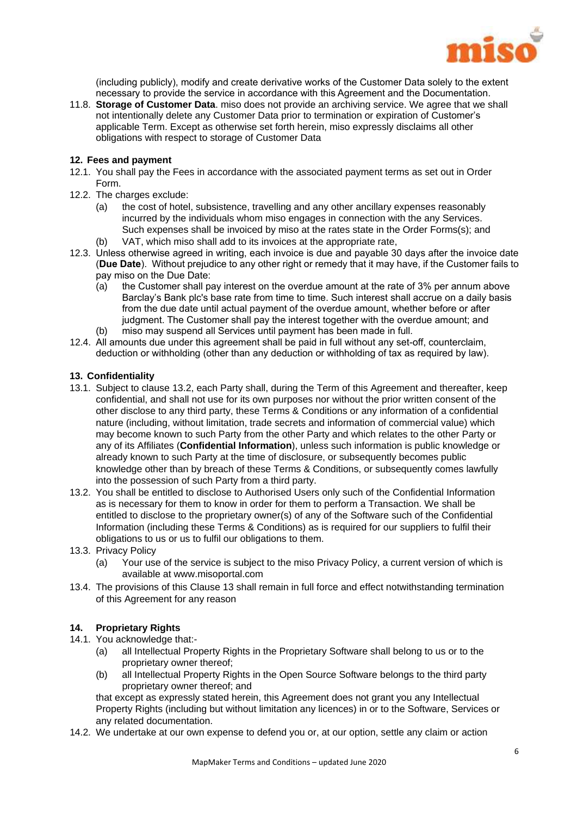

(including publicly), modify and create derivative works of the Customer Data solely to the extent necessary to provide the service in accordance with this Agreement and the Documentation.

11.8. **Storage of Customer Data**. miso does not provide an archiving service. We agree that we shall not intentionally delete any Customer Data prior to termination or expiration of Customer's applicable Term. Except as otherwise set forth herein, miso expressly disclaims all other obligations with respect to storage of Customer Data

## **12. Fees and payment**

- 12.1. You shall pay the Fees in accordance with the associated payment terms as set out in Order Form.
- 12.2. The charges exclude:
	- (a) the cost of hotel, subsistence, travelling and any other ancillary expenses reasonably incurred by the individuals whom miso engages in connection with the any Services. Such expenses shall be invoiced by miso at the rates state in the Order Forms(s); and
	- (b) VAT, which miso shall add to its invoices at the appropriate rate,
- 12.3. Unless otherwise agreed in writing, each invoice is due and payable 30 days after the invoice date (**Due Date**). Without prejudice to any other right or remedy that it may have, if the Customer fails to pay miso on the Due Date:
	- (a) the Customer shall pay interest on the overdue amount at the rate of 3% per annum above Barclay's Bank plc's base rate from time to time. Such interest shall accrue on a daily basis from the due date until actual payment of the overdue amount, whether before or after judgment. The Customer shall pay the interest together with the overdue amount; and
	- (b) miso may suspend all Services until payment has been made in full.
- 12.4. All amounts due under this agreement shall be paid in full without any set-off, counterclaim, deduction or withholding (other than any deduction or withholding of tax as required by law).

## **13. Confidentiality**

- 13.1. Subject to clause 13.2, each Party shall, during the Term of this Agreement and thereafter, keep confidential, and shall not use for its own purposes nor without the prior written consent of the other disclose to any third party, these Terms & Conditions or any information of a confidential nature (including, without limitation, trade secrets and information of commercial value) which may become known to such Party from the other Party and which relates to the other Party or any of its Affiliates (**Confidential Information**), unless such information is public knowledge or already known to such Party at the time of disclosure, or subsequently becomes public knowledge other than by breach of these Terms & Conditions, or subsequently comes lawfully into the possession of such Party from a third party.
- 13.2. You shall be entitled to disclose to Authorised Users only such of the Confidential Information as is necessary for them to know in order for them to perform a Transaction. We shall be entitled to disclose to the proprietary owner(s) of any of the Software such of the Confidential Information (including these Terms & Conditions) as is required for our suppliers to fulfil their obligations to us or us to fulfil our obligations to them.
- 13.3. Privacy Policy
	- (a) Your use of the service is subject to the miso Privacy Policy, a current version of which is available at www.misoportal.com
- 13.4. The provisions of this Clause 13 shall remain in full force and effect notwithstanding termination of this Agreement for any reason

### **14. Proprietary Rights**

- 14.1. You acknowledge that:-
	- (a) all Intellectual Property Rights in the Proprietary Software shall belong to us or to the proprietary owner thereof;
	- (b) all Intellectual Property Rights in the Open Source Software belongs to the third party proprietary owner thereof; and

that except as expressly stated herein, this Agreement does not grant you any Intellectual Property Rights (including but without limitation any licences) in or to the Software, Services or any related documentation.

14.2. We undertake at our own expense to defend you or, at our option, settle any claim or action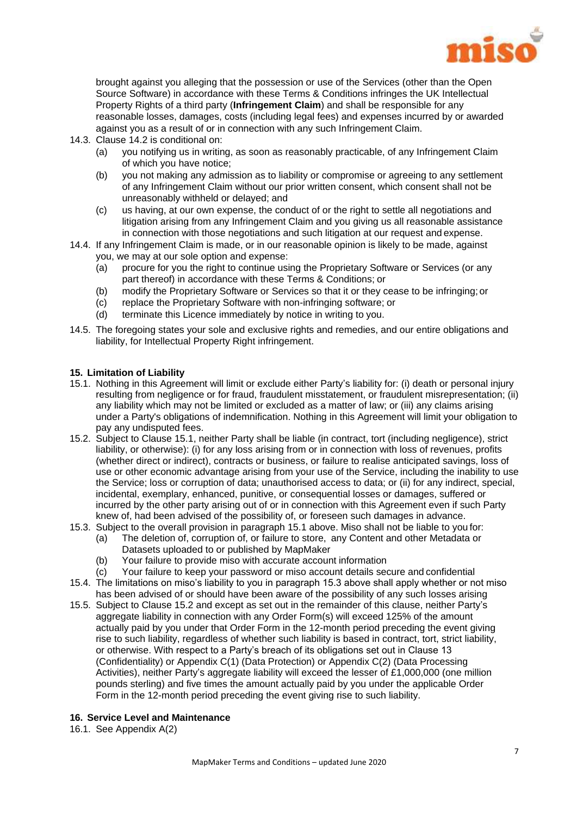

brought against you alleging that the possession or use of the Services (other than the Open Source Software) in accordance with these Terms & Conditions infringes the UK Intellectual Property Rights of a third party (**Infringement Claim**) and shall be responsible for any reasonable losses, damages, costs (including legal fees) and expenses incurred by or awarded against you as a result of or in connection with any such Infringement Claim.

- 14.3. Clause 14.2 is conditional on:
	- (a) you notifying us in writing, as soon as reasonably practicable, of any Infringement Claim of which you have notice;
	- (b) you not making any admission as to liability or compromise or agreeing to any settlement of any Infringement Claim without our prior written consent, which consent shall not be unreasonably withheld or delayed; and
	- (c) us having, at our own expense, the conduct of or the right to settle all negotiations and litigation arising from any Infringement Claim and you giving us all reasonable assistance in connection with those negotiations and such litigation at our request and expense.
- 14.4. If any Infringement Claim is made, or in our reasonable opinion is likely to be made, against you, we may at our sole option and expense:
	- (a) procure for you the right to continue using the Proprietary Software or Services (or any part thereof) in accordance with these Terms & Conditions; or
	- (b) modify the Proprietary Software or Services so that it or they cease to be infringing; or
	- (c) replace the Proprietary Software with non-infringing software; or
	- (d) terminate this Licence immediately by notice in writing to you.
- 14.5. The foregoing states your sole and exclusive rights and remedies, and our entire obligations and liability, for Intellectual Property Right infringement.

### **15. Limitation of Liability**

- 15.1. Nothing in this Agreement will limit or exclude either Party's liability for: (i) death or personal injury resulting from negligence or for fraud, fraudulent misstatement, or fraudulent misrepresentation; (ii) any liability which may not be limited or excluded as a matter of law; or (iii) any claims arising under a Party's obligations of indemnification. Nothing in this Agreement will limit your obligation to pay any undisputed fees.
- 15.2. Subject to Clause 15.1, neither Party shall be liable (in contract, tort (including negligence), strict liability, or otherwise): (i) for any loss arising from or in connection with loss of revenues, profits (whether direct or indirect), contracts or business, or failure to realise anticipated savings, loss of use or other economic advantage arising from your use of the Service, including the inability to use the Service; loss or corruption of data; unauthorised access to data; or (ii) for any indirect, special, incidental, exemplary, enhanced, punitive, or consequential losses or damages, suffered or incurred by the other party arising out of or in connection with this Agreement even if such Party knew of, had been advised of the possibility of, or foreseen such damages in advance.
- 15.3. Subject to the overall provision in paragraph 15.1 above. Miso shall not be liable to you for:
	- (a) The deletion of, corruption of, or failure to store, any Content and other Metadata or Datasets uploaded to or published by MapMaker
	- (b) Your failure to provide miso with accurate account information
	- (c) Your failure to keep your password or miso account details secure and confidential
- 15.4. The limitations on miso's liability to you in paragraph 15.3 above shall apply whether or not miso has been advised of or should have been aware of the possibility of any such losses arising
- 15.5. Subject to Clause 15.2 and except as set out in the remainder of this clause, neither Party's aggregate liability in connection with any Order Form(s) will exceed 125% of the amount actually paid by you under that Order Form in the 12-month period preceding the event giving rise to such liability, regardless of whether such liability is based in contract, tort, strict liability, or otherwise. With respect to a Party's breach of its obligations set out in Clause 13 (Confidentiality) or Appendix C(1) (Data Protection) or Appendix C(2) (Data Processing Activities), neither Party's aggregate liability will exceed the lesser of £1,000,000 (one million pounds sterling) and five times the amount actually paid by you under the applicable Order Form in the 12-month period preceding the event giving rise to such liability.

### **16. Service Level and Maintenance**

16.1. See Appendix A(2)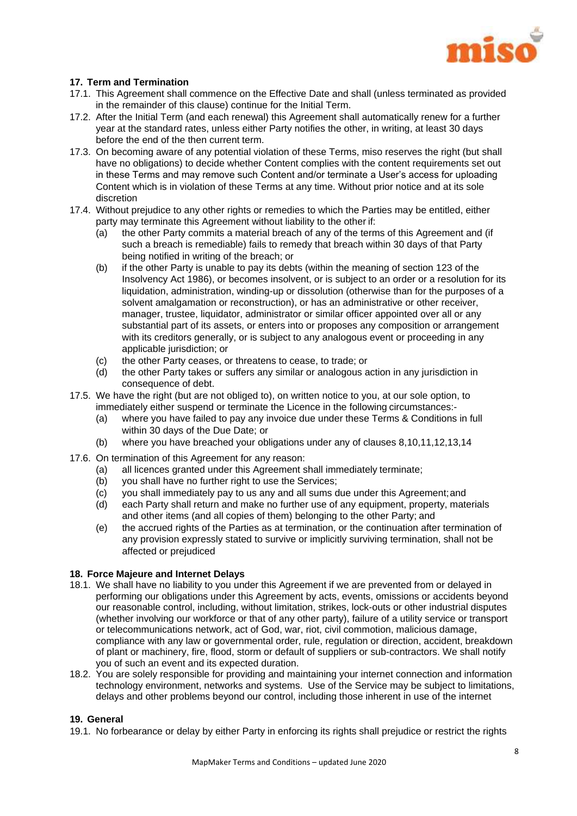

## **17. Term and Termination**

- 17.1. This Agreement shall commence on the Effective Date and shall (unless terminated as provided in the remainder of this clause) continue for the Initial Term.
- 17.2. After the Initial Term (and each renewal) this Agreement shall automatically renew for a further year at the standard rates, unless either Party notifies the other, in writing, at least 30 days before the end of the then current term.
- 17.3. On becoming aware of any potential violation of these Terms, miso reserves the right (but shall have no obligations) to decide whether Content complies with the content requirements set out in these Terms and may remove such Content and/or terminate a User's access for uploading Content which is in violation of these Terms at any time. Without prior notice and at its sole discretion
- 17.4. Without prejudice to any other rights or remedies to which the Parties may be entitled, either party may terminate this Agreement without liability to the other if:
	- (a) the other Party commits a material breach of any of the terms of this Agreement and (if such a breach is remediable) fails to remedy that breach within 30 days of that Party being notified in writing of the breach; or
	- (b) if the other Party is unable to pay its debts (within the meaning of section 123 of the Insolvency Act 1986), or becomes insolvent, or is subject to an order or a resolution for its liquidation, administration, winding-up or dissolution (otherwise than for the purposes of a solvent amalgamation or reconstruction), or has an administrative or other receiver, manager, trustee, liquidator, administrator or similar officer appointed over all or any substantial part of its assets, or enters into or proposes any composition or arrangement with its creditors generally, or is subject to any analogous event or proceeding in any applicable jurisdiction; or
	- (c) the other Party ceases, or threatens to cease, to trade; or
	- (d) the other Party takes or suffers any similar or analogous action in any jurisdiction in consequence of debt.
- 17.5. We have the right (but are not obliged to), on written notice to you, at our sole option, to immediately either suspend or terminate the Licence in the following circumstances:-
	- (a) where you have failed to pay any invoice due under these Terms & Conditions in full within 30 days of the Due Date; or
	- (b) where you have breached your obligations under any of clauses 8,10,11,12,13,14
- 17.6. On termination of this Agreement for any reason:
	- (a) all licences granted under this Agreement shall immediately terminate;
		- (b) you shall have no further right to use the Services;
		- (c) you shall immediately pay to us any and all sums due under this Agreement;and
		- (d) each Party shall return and make no further use of any equipment, property, materials and other items (and all copies of them) belonging to the other Party; and
		- (e) the accrued rights of the Parties as at termination, or the continuation after termination of any provision expressly stated to survive or implicitly surviving termination, shall not be affected or prejudiced

## **18. Force Majeure and Internet Delays**

- 18.1. We shall have no liability to you under this Agreement if we are prevented from or delayed in performing our obligations under this Agreement by acts, events, omissions or accidents beyond our reasonable control, including, without limitation, strikes, lock-outs or other industrial disputes (whether involving our workforce or that of any other party), failure of a utility service or transport or telecommunications network, act of God, war, riot, civil commotion, malicious damage, compliance with any law or governmental order, rule, regulation or direction, accident, breakdown of plant or machinery, fire, flood, storm or default of suppliers or sub-contractors. We shall notify you of such an event and its expected duration.
- 18.2. You are solely responsible for providing and maintaining your internet connection and information technology environment, networks and systems. Use of the Service may be subject to limitations, delays and other problems beyond our control, including those inherent in use of the internet

## **19. General**

19.1. No forbearance or delay by either Party in enforcing its rights shall prejudice or restrict the rights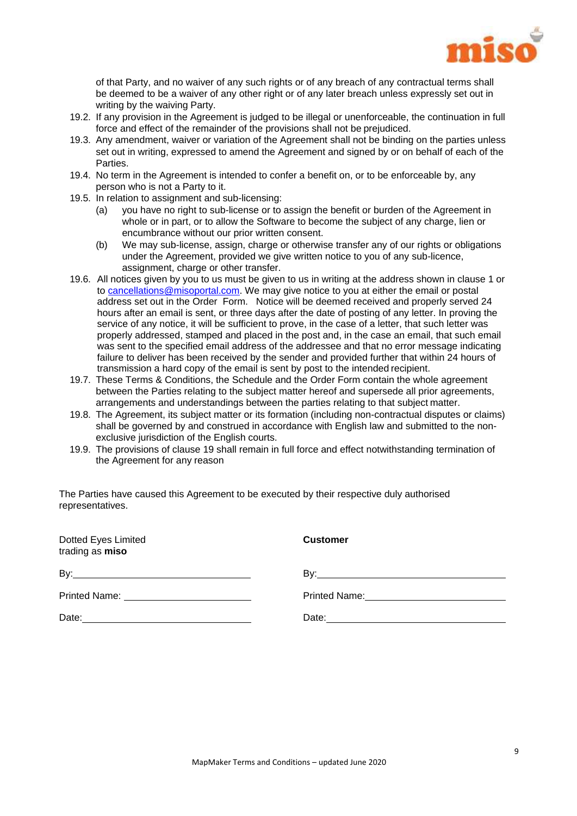

of that Party, and no waiver of any such rights or of any breach of any contractual terms shall be deemed to be a waiver of any other right or of any later breach unless expressly set out in writing by the waiving Party.

- 19.2. If any provision in the Agreement is judged to be illegal or unenforceable, the continuation in full force and effect of the remainder of the provisions shall not be prejudiced.
- 19.3. Any amendment, waiver or variation of the Agreement shall not be binding on the parties unless set out in writing, expressed to amend the Agreement and signed by or on behalf of each of the Parties.
- 19.4. No term in the Agreement is intended to confer a benefit on, or to be enforceable by, any person who is not a Party to it.
- 19.5. In relation to assignment and sub-licensing:
	- (a) you have no right to sub-license or to assign the benefit or burden of the Agreement in whole or in part, or to allow the Software to become the subject of any charge, lien or encumbrance without our prior written consent.
	- (b) We may sub-license, assign, charge or otherwise transfer any of our rights or obligations under the Agreement, provided we give written notice to you of any sub-licence, assignment, charge or other transfer.
- 19.6. All notices given by you to us must be given to us in writing at the address shown in clause 1 or to [cancellations@misoportal.com.](mailto:cancellations@misoportal.com) We may give notice to you at either the email or postal address set out in the Order Form. Notice will be deemed received and properly served 24 hours after an email is sent, or three days after the date of posting of any letter. In proving the service of any notice, it will be sufficient to prove, in the case of a letter, that such letter was properly addressed, stamped and placed in the post and, in the case an email, that such email was sent to the specified email address of the addressee and that no error message indicating failure to deliver has been received by the sender and provided further that within 24 hours of transmission a hard copy of the email is sent by post to the intended recipient.
- 19.7. These Terms & Conditions, the Schedule and the Order Form contain the whole agreement between the Parties relating to the subject matter hereof and supersede all prior agreements, arrangements and understandings between the parties relating to that subject matter.
- 19.8. The Agreement, its subject matter or its formation (including non-contractual disputes or claims) shall be governed by and construed in accordance with English law and submitted to the nonexclusive jurisdiction of the English courts.
- 19.9. The provisions of clause 19 shall remain in full force and effect notwithstanding termination of the Agreement for any reason

The Parties have caused this Agreement to be executed by their respective duly authorised representatives.

| Dotted Eyes Limited<br>trading as miso       | <b>Customer</b>                                    |
|----------------------------------------------|----------------------------------------------------|
|                                              |                                                    |
| Printed Name: ______________________________ | Printed Name: <u>_____________________________</u> |
|                                              | Date: <u>Date:</u>                                 |
|                                              |                                                    |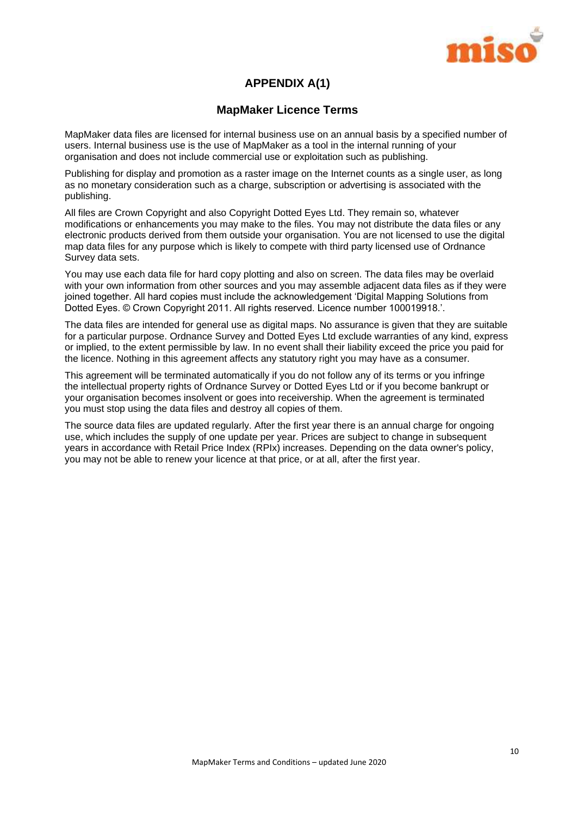

## **APPENDIX A(1)**

## **MapMaker Licence Terms**

MapMaker data files are licensed for internal business use on an annual basis by a specified number of users. Internal business use is the use of MapMaker as a tool in the internal running of your organisation and does not include commercial use or exploitation such as publishing.

Publishing for display and promotion as a raster image on the Internet counts as a single user, as long as no monetary consideration such as a charge, subscription or advertising is associated with the publishing.

All files are Crown Copyright and also Copyright Dotted Eyes Ltd. They remain so, whatever modifications or enhancements you may make to the files. You may not distribute the data files or any electronic products derived from them outside your organisation. You are not licensed to use the digital map data files for any purpose which is likely to compete with third party licensed use of Ordnance Survey data sets.

You may use each data file for hard copy plotting and also on screen. The data files may be overlaid with your own information from other sources and you may assemble adjacent data files as if they were joined together. All hard copies must include the acknowledgement 'Digital Mapping Solutions from Dotted Eyes. © Crown Copyright 2011. All rights reserved. Licence number 100019918.'.

The data files are intended for general use as digital maps. No assurance is given that they are suitable for a particular purpose. Ordnance Survey and Dotted Eyes Ltd exclude warranties of any kind, express or implied, to the extent permissible by law. In no event shall their liability exceed the price you paid for the licence. Nothing in this agreement affects any statutory right you may have as a consumer.

This agreement will be terminated automatically if you do not follow any of its terms or you infringe the intellectual property rights of Ordnance Survey or Dotted Eyes Ltd or if you become bankrupt or your organisation becomes insolvent or goes into receivership. When the agreement is terminated you must stop using the data files and destroy all copies of them.

The source data files are updated regularly. After the first year there is an annual charge for ongoing use, which includes the supply of one update per year. Prices are subject to change in subsequent years in accordance with Retail Price Index (RPIx) increases. Depending on the data owner's policy, you may not be able to renew your licence at that price, or at all, after the first year.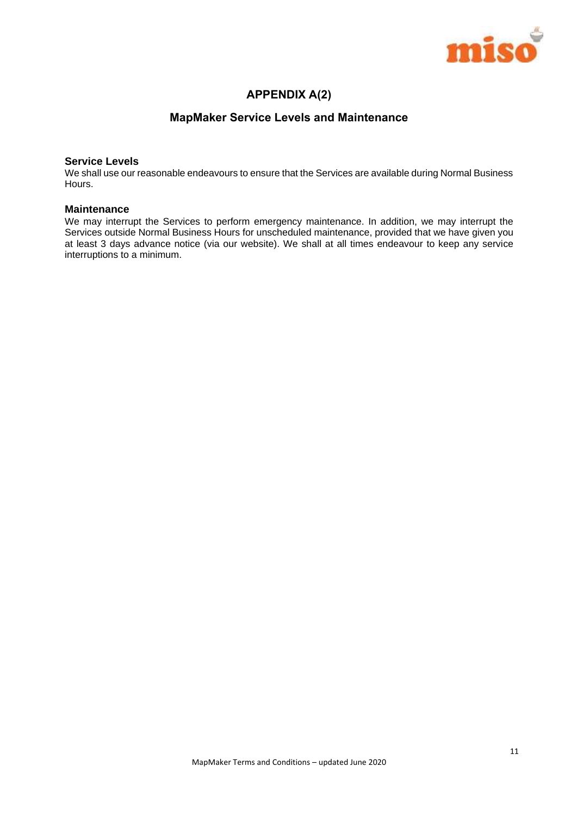

## **APPENDIX A(2)**

## **MapMaker Service Levels and Maintenance**

#### **Service Levels**

We shall use our reasonable endeavours to ensure that the Services are available during Normal Business Hours.

#### **Maintenance**

We may interrupt the Services to perform emergency maintenance. In addition, we may interrupt the Services outside Normal Business Hours for unscheduled maintenance, provided that we have given you at least 3 days advance notice (via our website). We shall at all times endeavour to keep any service interruptions to a minimum.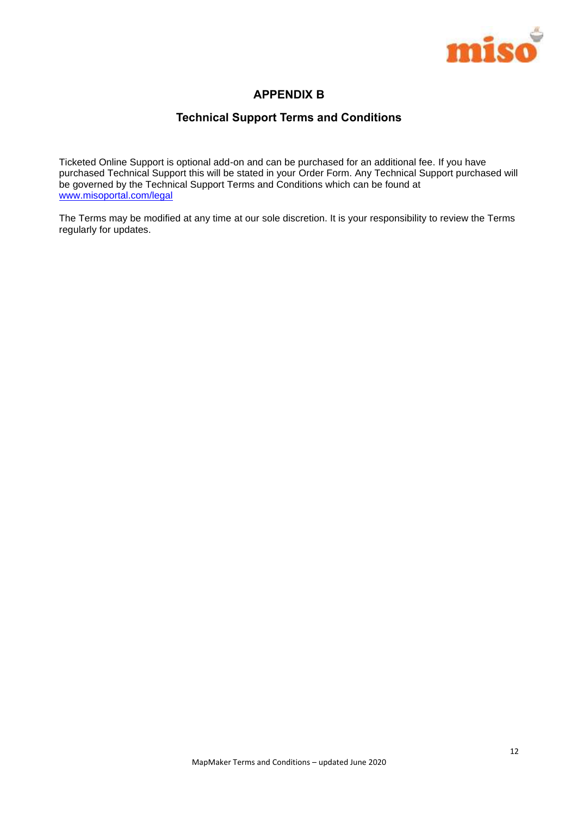

## **APPENDIX B**

## **Technical Support Terms and Conditions**

Ticketed Online Support is optional add-on and can be purchased for an additional fee. If you have purchased Technical Support this will be stated in your Order Form. Any Technical Support purchased will be governed by the Technical Support Terms and Conditions which can be found at [www.misoportal.com/legal](http://www.misoportal.com/legal)

The Terms may be modified at any time at our sole discretion. It is your responsibility to review the Terms regularly for updates.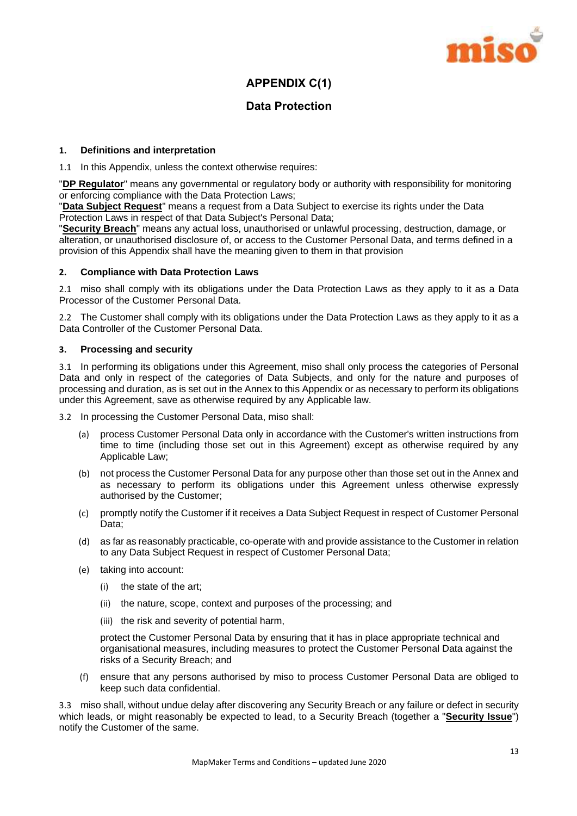

## **APPENDIX C(1)**

## **Data Protection**

## **1. Definitions and interpretation**

1.1 In this Appendix, unless the context otherwise requires:

"**DP Regulator**" means any governmental or regulatory body or authority with responsibility for monitoring or enforcing compliance with the Data Protection Laws;

"**Data Subject Request**" means a request from a Data Subject to exercise its rights under the Data Protection Laws in respect of that Data Subject's Personal Data;

"**Security Breach**" means any actual loss, unauthorised or unlawful processing, destruction, damage, or alteration, or unauthorised disclosure of, or access to the Customer Personal Data, and terms defined in a provision of this Appendix shall have the meaning given to them in that provision

### **2. Compliance with Data Protection Laws**

2.1 miso shall comply with its obligations under the Data Protection Laws as they apply to it as a Data Processor of the Customer Personal Data.

2.2 The Customer shall comply with its obligations under the Data Protection Laws as they apply to it as a Data Controller of the Customer Personal Data.

## **3. Processing and security**

3.1 In performing its obligations under this Agreement, miso shall only process the categories of Personal Data and only in respect of the categories of Data Subjects, and only for the nature and purposes of processing and duration, as is set out in the Annex to this Appendix or as necessary to perform its obligations under this Agreement, save as otherwise required by any Applicable law.

3.2 In processing the Customer Personal Data, miso shall:

- (a) process Customer Personal Data only in accordance with the Customer's written instructions from time to time (including those set out in this Agreement) except as otherwise required by any Applicable Law;
- (b) not process the Customer Personal Data for any purpose other than those set out in the Annex and as necessary to perform its obligations under this Agreement unless otherwise expressly authorised by the Customer;
- (c) promptly notify the Customer if it receives a Data Subject Request in respect of Customer Personal Data;
- (d) as far as reasonably practicable, co-operate with and provide assistance to the Customer in relation to any Data Subject Request in respect of Customer Personal Data;
- (e) taking into account:
	- (i) the state of the art;
	- (ii) the nature, scope, context and purposes of the processing; and
	- (iii) the risk and severity of potential harm,

protect the Customer Personal Data by ensuring that it has in place appropriate technical and organisational measures, including measures to protect the Customer Personal Data against the risks of a Security Breach; and

(f) ensure that any persons authorised by miso to process Customer Personal Data are obliged to keep such data confidential.

3.3 miso shall, without undue delay after discovering any Security Breach or any failure or defect in security which leads, or might reasonably be expected to lead, to a Security Breach (together a "**Security Issue**") notify the Customer of the same.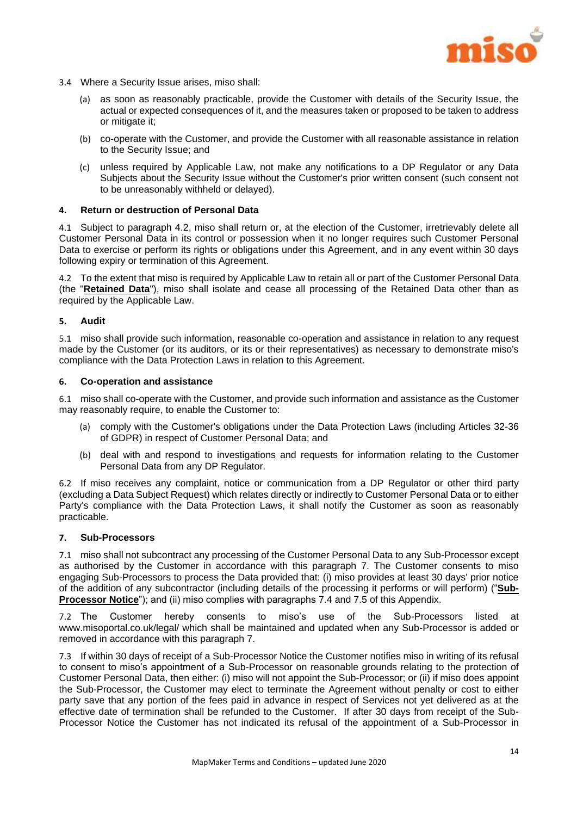

- 3.4 Where a Security Issue arises, miso shall:
	- (a) as soon as reasonably practicable, provide the Customer with details of the Security Issue, the actual or expected consequences of it, and the measures taken or proposed to be taken to address or mitigate it;
	- (b) co-operate with the Customer, and provide the Customer with all reasonable assistance in relation to the Security Issue; and
	- (c) unless required by Applicable Law, not make any notifications to a DP Regulator or any Data Subjects about the Security Issue without the Customer's prior written consent (such consent not to be unreasonably withheld or delayed).

#### **4. Return or destruction of Personal Data**

4.1 Subject to paragraph [4.2,](#page-14-0) miso shall return or, at the election of the Customer, irretrievably delete all Customer Personal Data in its control or possession when it no longer requires such Customer Personal Data to exercise or perform its rights or obligations under this Agreement, and in any event within 30 days following expiry or termination of this Agreement.

<span id="page-14-0"></span>4.2 To the extent that miso is required by Applicable Law to retain all or part of the Customer Personal Data (the "**Retained Data**"), miso shall isolate and cease all processing of the Retained Data other than as required by the Applicable Law.

#### **5. Audit**

5.1 miso shall provide such information, reasonable co-operation and assistance in relation to any request made by the Customer (or its auditors, or its or their representatives) as necessary to demonstrate miso's compliance with the Data Protection Laws in relation to this Agreement.

#### **6. Co-operation and assistance**

6.1 miso shall co-operate with the Customer, and provide such information and assistance as the Customer may reasonably require, to enable the Customer to:

- (a) comply with the Customer's obligations under the Data Protection Laws (including Articles 32-36 of GDPR) in respect of Customer Personal Data; and
- (b) deal with and respond to investigations and requests for information relating to the Customer Personal Data from any DP Regulator.

6.2 If miso receives any complaint, notice or communication from a DP Regulator or other third party (excluding a Data Subject Request) which relates directly or indirectly to Customer Personal Data or to either Party's compliance with the Data Protection Laws, it shall notify the Customer as soon as reasonably practicable.

### <span id="page-14-1"></span>**7. Sub-Processors**

7.1 miso shall not subcontract any processing of the Customer Personal Data to any Sub-Processor except as authorised by the Customer in accordance with this paragraph [7.](#page-14-1) The Customer consents to miso engaging Sub-Processors to process the Data provided that: (i) miso provides at least 30 days' prior notice of the addition of any subcontractor (including details of the processing it performs or will perform) ("**Sub-Processor Notice**"); and (ii) miso complies with paragraphs [7.4](#page-15-0) and [7.5](#page-15-1) of this Appendix.

7.2 The Customer hereby consents to miso's use of the Sub-Processors listed at www.misoportal.co.uk/legal/ which shall be maintained and updated when any Sub-Processor is added or removed in accordance with this paragraph [7.](#page-14-1)

7.3 If within 30 days of receipt of a Sub-Processor Notice the Customer notifies miso in writing of its refusal to consent to miso's appointment of a Sub-Processor on reasonable grounds relating to the protection of Customer Personal Data, then either: (i) miso will not appoint the Sub-Processor; or (ii) if miso does appoint the Sub-Processor, the Customer may elect to terminate the Agreement without penalty or cost to either party save that any portion of the fees paid in advance in respect of Services not yet delivered as at the effective date of termination shall be refunded to the Customer. If after 30 days from receipt of the Sub-Processor Notice the Customer has not indicated its refusal of the appointment of a Sub-Processor in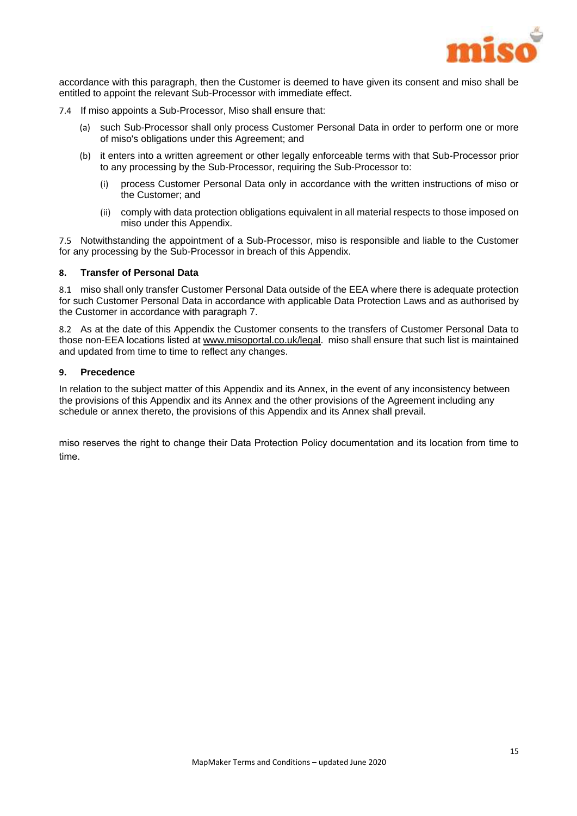

accordance with this paragraph, then the Customer is deemed to have given its consent and miso shall be entitled to appoint the relevant Sub-Processor with immediate effect.

- <span id="page-15-0"></span>7.4 If miso appoints a Sub-Processor, Miso shall ensure that:
	- (a) such Sub-Processor shall only process Customer Personal Data in order to perform one or more of miso's obligations under this Agreement; and
	- (b) it enters into a written agreement or other legally enforceable terms with that Sub-Processor prior to any processing by the Sub-Processor, requiring the Sub-Processor to:
		- (i) process Customer Personal Data only in accordance with the written instructions of miso or the Customer; and
		- (ii) comply with data protection obligations equivalent in all material respects to those imposed on miso under this Appendix.

<span id="page-15-1"></span>7.5 Notwithstanding the appointment of a Sub-Processor, miso is responsible and liable to the Customer for any processing by the Sub-Processor in breach of this Appendix.

## **8. Transfer of Personal Data**

8.1 miso shall only transfer Customer Personal Data outside of the EEA where there is adequate protection for such Customer Personal Data in accordance with applicable Data Protection Laws and as authorised by the Customer in accordance with paragraph 7.

8.2 As at the date of this Appendix the Customer consents to the transfers of Customer Personal Data to those non-EEA locations listed a[t www.misoportal.co.uk/legal.](http://www.misoportal.co.uk/legal) miso shall ensure that such list is maintained and updated from time to time to reflect any changes.

#### **9. Precedence**

In relation to the subject matter of this Appendix and its Annex, in the event of any inconsistency between the provisions of this Appendix and its Annex and the other provisions of the Agreement including any schedule or annex thereto, the provisions of this Appendix and its Annex shall prevail.

miso reserves the right to change their Data Protection Policy documentation and its location from time to time.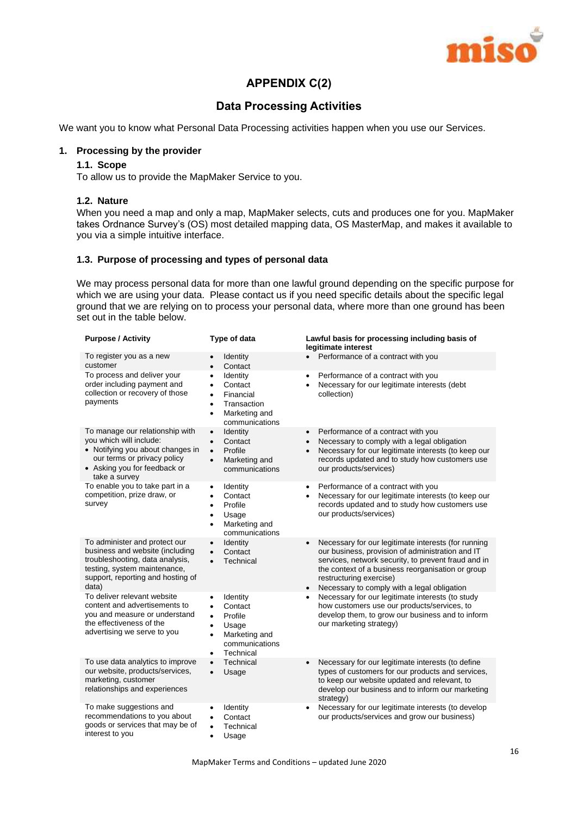

## **APPENDIX C(2)**

## **Data Processing Activities**

We want you to know what Personal Data Processing activities happen when you use our Services.

## **1. Processing by the provider**

## **1.1. Scope**

To allow us to provide the MapMaker Service to you.

## **1.2. Nature**

When you need a map and only a map, MapMaker selects, cuts and produces one for you. MapMaker takes Ordnance Survey's (OS) most detailed mapping data, OS MasterMap, and makes it available to you via a simple intuitive interface.

## **1.3. Purpose of processing and types of personal data**

We may process personal data for more than one lawful ground depending on the specific purpose for which we are using your data. Please contact us if you need specific details about the specific legal ground that we are relying on to process your personal data, where more than one ground has been set out in the table below.

| <b>Purpose / Activity</b>                                                                                                                                                         | Type of data                                                                                                                                                          | Lawful basis for processing including basis of<br>legitimate interest                                                                                                                                                                                                                                                   |
|-----------------------------------------------------------------------------------------------------------------------------------------------------------------------------------|-----------------------------------------------------------------------------------------------------------------------------------------------------------------------|-------------------------------------------------------------------------------------------------------------------------------------------------------------------------------------------------------------------------------------------------------------------------------------------------------------------------|
| To register you as a new<br>customer                                                                                                                                              | <b>Identity</b><br>Contact<br>$\bullet$                                                                                                                               | Performance of a contract with you                                                                                                                                                                                                                                                                                      |
| To process and deliver your<br>order including payment and<br>collection or recovery of those<br>payments                                                                         | Identity<br>$\bullet$<br>Contact<br>$\bullet$<br>Financial<br>$\bullet$<br>Transaction<br>$\bullet$<br>Marketing and<br>$\bullet$<br>communications                   | Performance of a contract with you<br>$\bullet$<br>Necessary for our legitimate interests (debt<br>$\bullet$<br>collection)                                                                                                                                                                                             |
| To manage our relationship with<br>you which will include:<br>• Notifying you about changes in<br>our terms or privacy policy<br>• Asking you for feedback or<br>take a survey    | Identity<br>$\bullet$<br>Contact<br>$\bullet$<br>Profile<br>$\bullet$<br>Marketing and<br>$\bullet$<br>communications                                                 | Performance of a contract with you<br>$\bullet$<br>Necessary to comply with a legal obligation<br>$\bullet$<br>Necessary for our legitimate interests (to keep our<br>$\bullet$<br>records updated and to study how customers use<br>our products/services)                                                             |
| To enable you to take part in a<br>competition, prize draw, or<br>survey                                                                                                          | Identity<br>$\bullet$<br>Contact<br>$\bullet$<br>Profile<br>$\bullet$<br>Usage<br>$\bullet$<br>Marketing and<br>$\bullet$<br>communications                           | Performance of a contract with you<br>٠<br>Necessary for our legitimate interests (to keep our<br>٠<br>records updated and to study how customers use<br>our products/services)                                                                                                                                         |
| To administer and protect our<br>business and website (including<br>troubleshooting, data analysis,<br>testing, system maintenance,<br>support, reporting and hosting of<br>data) | Identity<br>$\bullet$<br>Contact<br>$\bullet$<br>Technical<br>$\bullet$                                                                                               | Necessary for our legitimate interests (for running<br>$\bullet$<br>our business, provision of administration and IT<br>services, network security, to prevent fraud and in<br>the context of a business reorganisation or group<br>restructuring exercise)<br>Necessary to comply with a legal obligation<br>$\bullet$ |
| To deliver relevant website<br>content and advertisements to<br>you and measure or understand<br>the effectiveness of the<br>advertising we serve to you                          | Identity<br>$\bullet$<br>Contact<br>$\bullet$<br>Profile<br>$\bullet$<br>Usage<br>$\bullet$<br>Marketing and<br>$\bullet$<br>communications<br>Technical<br>$\bullet$ | Necessary for our legitimate interests (to study<br>$\bullet$<br>how customers use our products/services, to<br>develop them, to grow our business and to inform<br>our marketing strategy)                                                                                                                             |
| To use data analytics to improve<br>our website, products/services,<br>marketing, customer<br>relationships and experiences                                                       | Technical<br>$\bullet$<br>Usage<br>$\bullet$                                                                                                                          | Necessary for our legitimate interests (to define<br>$\bullet$<br>types of customers for our products and services,<br>to keep our website updated and relevant, to<br>develop our business and to inform our marketing<br>strategy)                                                                                    |
| To make suggestions and<br>recommendations to you about<br>goods or services that may be of<br>interest to you                                                                    | Identity<br>Contact<br>$\bullet$<br>Technical<br>$\bullet$<br>Usage<br>$\bullet$                                                                                      | Necessary for our legitimate interests (to develop<br>٠<br>our products/services and grow our business)                                                                                                                                                                                                                 |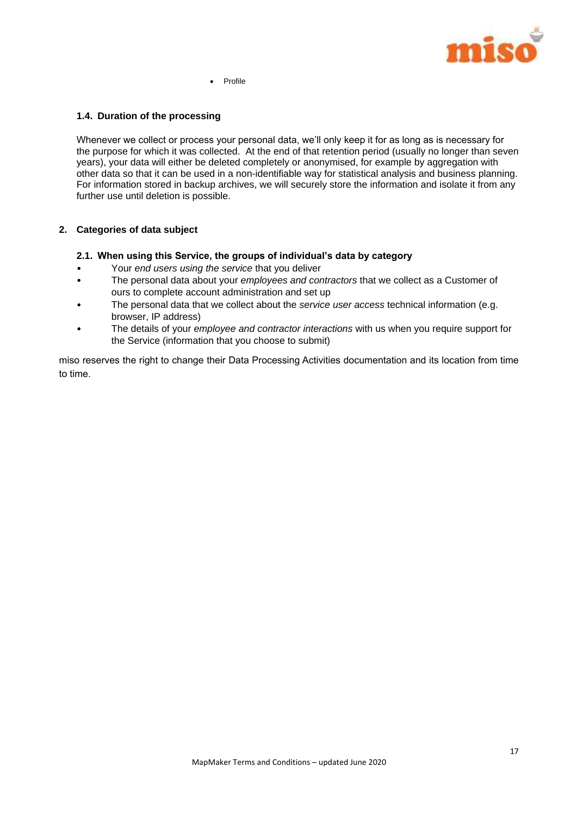

Profile

## **1.4. Duration of the processing**

Whenever we collect or process your personal data, we'll only keep it for as long as is necessary for the purpose for which it was collected. At the end of that retention period (usually no longer than seven years), your data will either be deleted completely or anonymised, for example by aggregation with other data so that it can be used in a non-identifiable way for statistical analysis and business planning. For information stored in backup archives, we will securely store the information and isolate it from any further use until deletion is possible.

## **2. Categories of data subject**

- **2.1. When using this Service, the groups of individual's data by category**
- Your *end users using the service* that you deliver
- The personal data about your *employees and contractors* that we collect as a Customer of ours to complete account administration and set up
- The personal data that we collect about the *service user access* technical information (e.g. browser, IP address)
- The details of your *employee and contractor interactions* with us when you require support for the Service (information that you choose to submit)

miso reserves the right to change their Data Processing Activities documentation and its location from time to time.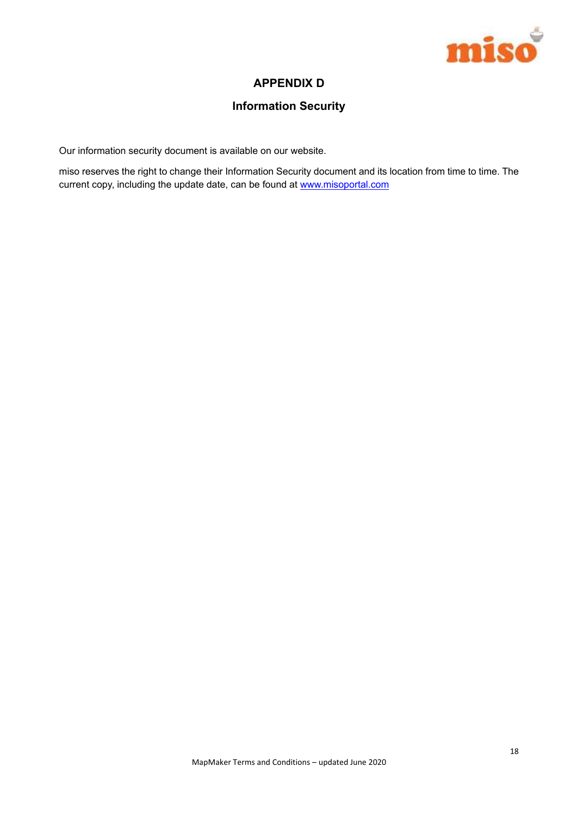

## **APPENDIX D**

## **Information Security**

Our information security document is available on our website.

miso reserves the right to change their Information Security document and its location from time to time. The current copy, including the update date, can be found at www.misoportal.com